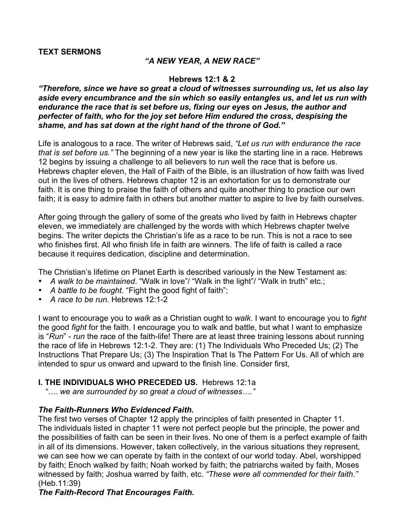### **TEXT SERMONS**

### *"A NEW YEAR, A NEW RACE"*

#### **Hebrews 12:1 & 2**

*"Therefore, since we have so great a cloud of witnesses surrounding us, let us also lay aside every encumbrance and the sin which so easily entangles us, and let us run with endurance the race that is set before us, fixing our eyes on Jesus, the author and perfecter of faith, who for the joy set before Him endured the cross, despising the shame, and has sat down at the right hand of the throne of God."*

Life is analogous to a race. The writer of Hebrews said, *"Let us run with endurance the race that is set before us."* The beginning of a new year is like the starting line in a race. Hebrews 12 begins by issuing a challenge to all believers to run well the race that is before us. Hebrews chapter eleven, the Hall of Faith of the Bible, is an illustration of how faith was lived out in the lives of others. Hebrews chapter 12 is an exhortation for us to demonstrate our faith. It is one thing to praise the faith of others and quite another thing to practice our own faith; it is easy to admire faith in others but another matter to aspire to live by faith ourselves.

After going through the gallery of some of the greats who lived by faith in Hebrews chapter eleven, we immediately are challenged by the words with which Hebrews chapter twelve begins. The writer depicts the Christian's life as a race to be run. This is not a race to see who finishes first. All who finish life in faith are winners. The life of faith is called a race because it requires dedication, discipline and determination.

The Christian's lifetime on Planet Earth is described variously in the New Testament as:

- *A walk to be maintained*. "Walk in love"/ "Walk in the light"/ "Walk in truth" etc.;
- *A battle to be fought*. "Fight the good fight of faith";
- *A race to be run*. Hebrews 12:1-2

I want to encourage you to *walk* as a Christian ought to *walk*. I want to encourage you to *fight*  the good *fight* for the faith. I encourage you to walk and battle, but what I want to emphasize is "*Run*" - *run* the race of the faith-life! There are at least three training lessons about running the race of life in Hebrews 12:1-2. They are: (1) The Individuals Who Preceded Us; (2) The Instructions That Prepare Us; (3) The Inspiration That Is The Pattern For Us. All of which are intended to spur us onward and upward to the finish line. Consider first,

#### **I. THE INDIVIDUALS WHO PRECEDED US.** Hebrews 12:1a

*"…. we are surrounded by so great a cloud of witnesses…."*

# *The Faith-Runners Who Evidenced Faith.*

The first two verses of Chapter 12 apply the principles of faith presented in Chapter 11. The individuals listed in chapter 11 were not perfect people but the principle, the power and the possibilities of faith can be seen in their lives. No one of them is a perfect example of faith in all of its dimensions. However, taken collectively, in the various situations they represent, we can see how we can operate by faith in the context of our world today. Abel, worshipped by faith; Enoch walked by faith; Noah worked by faith; the patriarchs waited by faith, Moses witnessed by faith; Joshua warred by faith, etc. *"These were all commended for their faith."* (Heb.11:39)

# *The Faith-Record That Encourages Faith.*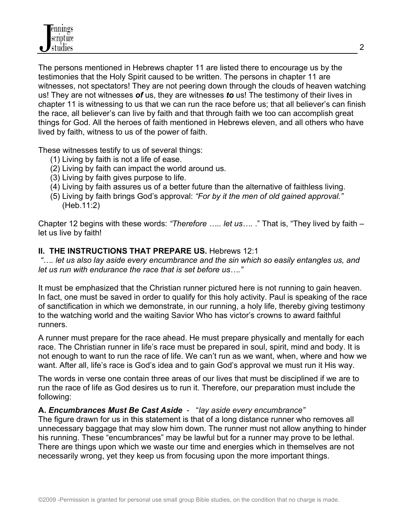The persons mentioned in Hebrews chapter 11 are listed there to encourage us by the testimonies that the Holy Spirit caused to be written. The persons in chapter 11 are witnesses, not spectators! They are not peering down through the clouds of heaven watching us! They are not witnesses *of* us, they are witnesses *to* us! The testimony of their lives in chapter 11 is witnessing to us that we can run the race before us; that all believer's can finish the race, all believer's can live by faith and that through faith we too can accomplish great things for God. All the heroes of faith mentioned in Hebrews eleven, and all others who have lived by faith, witness to us of the power of faith.

These witnesses testify to us of several things:

- (1) Living by faith is not a life of ease.
- (2) Living by faith can impact the world around us.
- (3) Living by faith gives purpose to life.
- (4) Living by faith assures us of a better future than the alternative of faithless living.
- (5) Living by faith brings God's approval: *"For by it the men of old gained approval."* (Heb.11:2)

Chapter 12 begins with these words: *"Therefore ….. let us….* ." That is, "They lived by faith – let us live by faith!

# **II. THE INSTRUCTIONS THAT PREPARE US.** Hebrews 12:1

 *"…. let us also lay aside every encumbrance and the sin which so easily entangles us, and let us run with endurance the race that is set before us…."*

It must be emphasized that the Christian runner pictured here is not running to gain heaven. In fact, one must be saved in order to qualify for this holy activity. Paul is speaking of the race of sanctification in which we demonstrate, in our running, a holy life, thereby giving testimony to the watching world and the waiting Savior Who has victor's crowns to award faithful runners.

A runner must prepare for the race ahead. He must prepare physically and mentally for each race. The Christian runner in life's race must be prepared in soul, spirit, mind and body. It is not enough to want to run the race of life. We can't run as we want, when, where and how we want. After all, life's race is God's idea and to gain God's approval we must run it His way.

The words in verse one contain three areas of our lives that must be disciplined if we are to run the race of life as God desires us to run it. Therefore, our preparation must include the following:

# **A.** *Encumbrances Must Be Cast Aside* - "*lay aside every encumbrance"*

The figure drawn for us in this statement is that of a long distance runner who removes all unnecessary baggage that may slow him down. The runner must not allow anything to hinder his running. These "encumbrances" may be lawful but for a runner may prove to be lethal. There are things upon which we waste our time and energies which in themselves are not necessarily wrong, yet they keep us from focusing upon the more important things.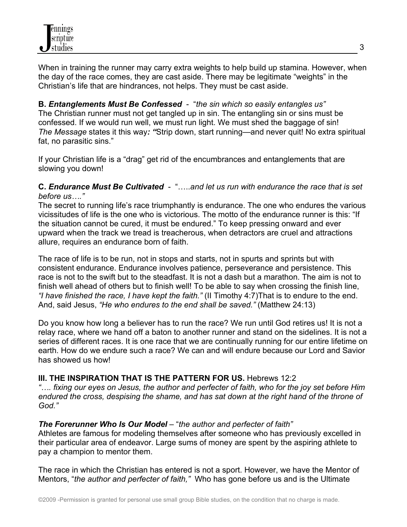When in training the runner may carry extra weights to help build up stamina. However, when the day of the race comes, they are cast aside. There may be legitimate "weights" in the Christian's life that are hindrances, not helps. They must be cast aside.

**B.** *Entanglements Must Be Confessed* - "*the sin which so easily entangles us"* The Christian runner must not get tangled up in sin. The entangling sin or sins must be confessed. If we would run well, we must run light. We must shed the baggage of sin! *The Message* states it this way*: "*Strip down, start running—and never quit! No extra spiritual fat, no parasitic sins."

If your Christian life is a "drag" get rid of the encumbrances and entanglements that are slowing you down!

# **C.** *Endurance Must Be Cultivated* - "…..*and let us run with endurance the race that is set before us…."*

The secret to running life's race triumphantly is endurance. The one who endures the various vicissitudes of life is the one who is victorious. The motto of the endurance runner is this: "If the situation cannot be cured, it must be endured." To keep pressing onward and ever upward when the track we tread is treacherous, when detractors are cruel and attractions allure, requires an endurance born of faith.

The race of life is to be run, not in stops and starts, not in spurts and sprints but with consistent endurance. Endurance involves patience, perseverance and persistence. This race is not to the swift but to the steadfast. It is not a dash but a marathon. The aim is not to finish well ahead of others but to finish well! To be able to say when crossing the finish line, *"I have finished the race, I have kept the faith."* (II Timothy 4:7)That is to endure to the end. And, said Jesus, *"He who endures to the end shall be saved."* (Matthew 24:13)

Do you know how long a believer has to run the race? We run until God retires us! It is not a relay race, where we hand off a baton to another runner and stand on the sidelines. It is not a series of different races. It is one race that we are continually running for our entire lifetime on earth. How do we endure such a race? We can and will endure because our Lord and Savior has showed us how!

# **III. THE INSPIRATION THAT IS THE PATTERN FOR US.** Hebrews 12:2

*"…. fixing our eyes on Jesus, the author and perfecter of faith, who for the joy set before Him endured the cross, despising the shame, and has sat down at the right hand of the throne of God."*

# *The Forerunner Who Is Our Model* – "*the author and perfecter of faith"*

Athletes are famous for modeling themselves after someone who has previously excelled in their particular area of endeavor. Large sums of money are spent by the aspiring athlete to pay a champion to mentor them.

The race in which the Christian has entered is not a sport. However, we have the Mentor of Mentors, "*the author and perfecter of faith,"* Who has gone before us and is the Ultimate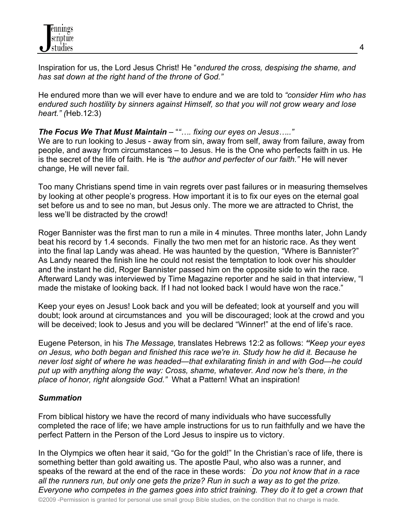Inspiration for us, the Lord Jesus Christ! He "*endured the cross, despising the shame, and has sat down at the right hand of the throne of God."*

He endured more than we will ever have to endure and we are told to *"consider Him who has endured such hostility by sinners against Himself, so that you will not grow weary and lose heart." (*Heb.12:3)

*The Focus We That Must Maintain* – "*"…. fixing our eyes on Jesus….."*

We are to run looking to Jesus - away from sin, away from self, away from failure, away from people, and away from circumstances – to Jesus. He is the One who perfects faith in us. He is the secret of the life of faith. He is *"the author and perfecter of our faith."* He will never change, He will never fail.

Too many Christians spend time in vain regrets over past failures or in measuring themselves by looking at other people's progress. How important it is to fix our eyes on the eternal goal set before us and to see no man, but Jesus only. The more we are attracted to Christ, the less we'll be distracted by the crowd!

Roger Bannister was the first man to run a mile in 4 minutes. Three months later, John Landy beat his record by 1.4 seconds. Finally the two men met for an historic race. As they went into the final lap Landy was ahead. He was haunted by the question, "Where is Bannister?" As Landy neared the finish line he could not resist the temptation to look over his shoulder and the instant he did, Roger Bannister passed him on the opposite side to win the race. Afterward Landy was interviewed by Time Magazine reporter and he said in that interview, "I made the mistake of looking back. If I had not looked back I would have won the race."

Keep your eyes on Jesus! Look back and you will be defeated; look at yourself and you will doubt; look around at circumstances and you will be discouraged; look at the crowd and you will be deceived; look to Jesus and you will be declared "Winner!" at the end of life's race.

Eugene Peterson, in his *The Message,* translates Hebrews 12:2 as follows: *"Keep your eyes on Jesus, who both began and finished this race we're in. Study how he did it. Because he never lost sight of where he was headed—that exhilarating finish in and with God—he could put up with anything along the way: Cross, shame, whatever. And now he's there, in the place of honor, right alongside God."* What a Pattern! What an inspiration!

# *Summation*

From biblical history we have the record of many individuals who have successfully completed the race of life; we have ample instructions for us to run faithfully and we have the perfect Pattern in the Person of the Lord Jesus to inspire us to victory.

In the Olympics we often hear it said, "Go for the gold!" In the Christian's race of life, there is something better than gold awaiting us. The apostle Paul, who also was a runner, and speaks of the reward at the end of the race in these words: *" Do you not know that in a race all the runners run, but only one gets the prize? Run in such a way as to get the prize. Everyone who competes in the games goes into strict training. They do it to get a crown that*